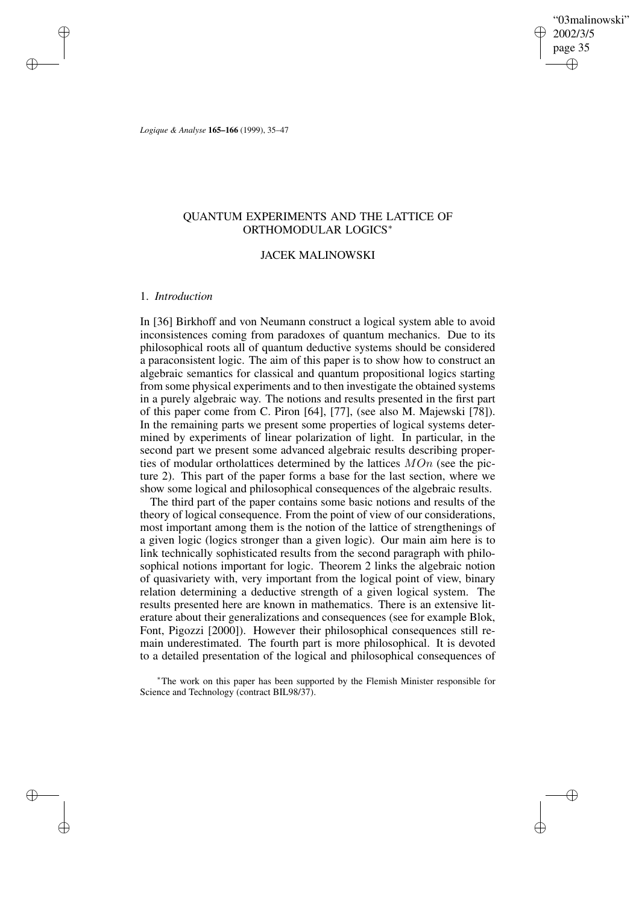"03malinowski" 2002/3/5 page 35 ✐ ✐

✐

✐

*Logique & Analyse* **165–166** (1999), 35–47

# QUANTUM EXPERIMENTS AND THE LATTICE OF ORTHOMODULAR LOGICS<sup>∗</sup>

### JACEK MALINOWSKI

# 1. *Introduction*

✐

✐

✐

✐

In [36] Birkhoff and von Neumann construct a logical system able to avoid inconsistences coming from paradoxes of quantum mechanics. Due to its philosophical roots all of quantum deductive systems should be considered a paraconsistent logic. The aim of this paper is to show how to construct an algebraic semantics for classical and quantum propositional logics starting from some physical experiments and to then investigate the obtained systems in a purely algebraic way. The notions and results presented in the first part of this paper come from C. Piron [64], [77], (see also M. Majewski [78]). In the remaining parts we present some properties of logical systems determined by experiments of linear polarization of light. In particular, in the second part we present some advanced algebraic results describing properties of modular ortholattices determined by the lattices  $MOn$  (see the picture 2). This part of the paper forms a base for the last section, where we show some logical and philosophical consequences of the algebraic results.

The third part of the paper contains some basic notions and results of the theory of logical consequence. From the point of view of our considerations, most important among them is the notion of the lattice of strengthenings of a given logic (logics stronger than a given logic). Our main aim here is to link technically sophisticated results from the second paragraph with philosophical notions important for logic. Theorem 2 links the algebraic notion of quasivariety with, very important from the logical point of view, binary relation determining a deductive strength of a given logical system. The results presented here are known in mathematics. There is an extensive literature about their generalizations and consequences (see for example Blok, Font, Pigozzi [2000]). However their philosophical consequences still remain underestimated. The fourth part is more philosophical. It is devoted to a detailed presentation of the logical and philosophical consequences of

<sup>∗</sup>The work on this paper has been supported by the Flemish Minister responsible for Science and Technology (contract BIL98/37).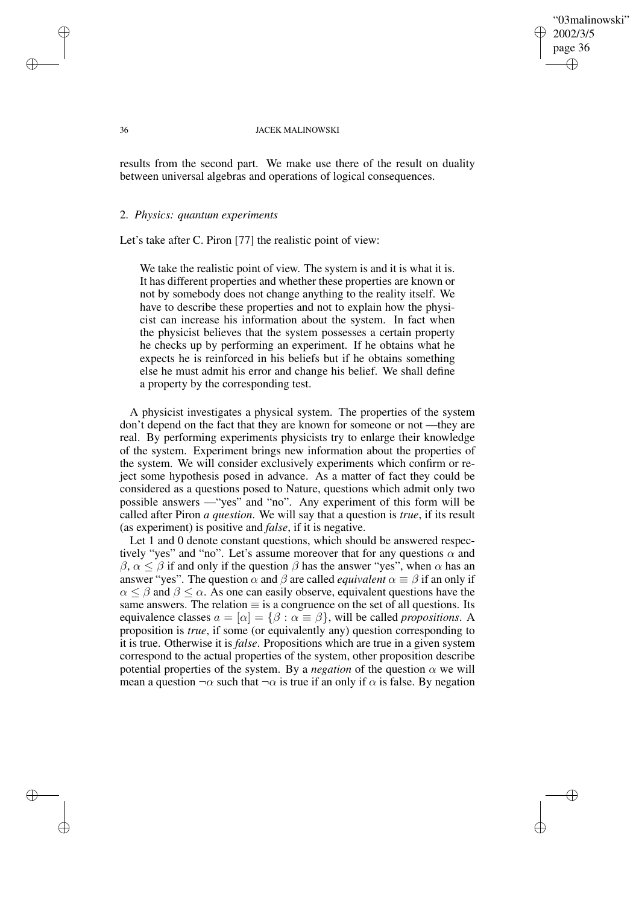## "03malinowski" 2002/3/5 page 36 ✐ ✐

✐

✐

#### 36 JACEK MALINOWSKI

results from the second part. We make use there of the result on duality between universal algebras and operations of logical consequences.

### 2. *Physics: quantum experiments*

Let's take after C. Piron [77] the realistic point of view:

We take the realistic point of view. The system is and it is what it is. It has different properties and whether these properties are known or not by somebody does not change anything to the reality itself. We have to describe these properties and not to explain how the physicist can increase his information about the system. In fact when the physicist believes that the system possesses a certain property he checks up by performing an experiment. If he obtains what he expects he is reinforced in his beliefs but if he obtains something else he must admit his error and change his belief. We shall define a property by the corresponding test.

A physicist investigates a physical system. The properties of the system don't depend on the fact that they are known for someone or not —they are real. By performing experiments physicists try to enlarge their knowledge of the system. Experiment brings new information about the properties of the system. We will consider exclusively experiments which confirm or reject some hypothesis posed in advance. As a matter of fact they could be considered as a questions posed to Nature, questions which admit only two possible answers —"yes" and "no". Any experiment of this form will be called after Piron *a question*. We will say that a question is *true*, if its result (as experiment) is positive and *false*, if it is negative.

Let 1 and 0 denote constant questions, which should be answered respectively "yes" and "no". Let's assume moreover that for any questions  $\alpha$  and  $\beta$ ,  $\alpha \leq \beta$  if and only if the question  $\beta$  has the answer "yes", when  $\alpha$  has an answer "yes". The question  $\alpha$  and  $\beta$  are called *equivalent*  $\alpha \equiv \beta$  if an only if  $\alpha \leq \beta$  and  $\beta \leq \alpha$ . As one can easily observe, equivalent questions have the same answers. The relation  $\equiv$  is a congruence on the set of all questions. Its equivalence classes  $a = [\alpha] = {\beta : \alpha \equiv \beta}$ , will be called *propositions*. A proposition is *true*, if some (or equivalently any) question corresponding to it is true. Otherwise it is *false*. Propositions which are true in a given system correspond to the actual properties of the system, other proposition describe potential properties of the system. By a *negation* of the question  $\alpha$  we will mean a question  $\neg \alpha$  such that  $\neg \alpha$  is true if an only if  $\alpha$  is false. By negation

✐

✐

✐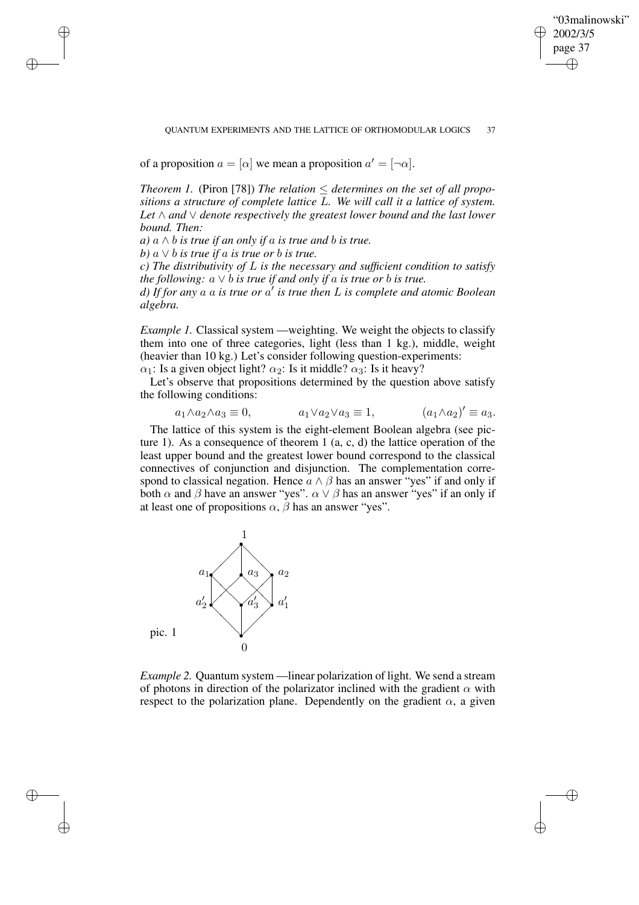"03malinowski" 2002/3/5 page 37 ✐ ✐

✐

✐

#### QUANTUM EXPERIMENTS AND THE LATTICE OF ORTHOMODULAR LOGICS 37

of a proposition  $a = [\alpha]$  we mean a proposition  $a' = [\neg \alpha]$ .

*Theorem 1.* (Piron [78]) *The relation*  $\leq$  *determines on the set of all propositions a structure of complete lattice* L*. We will call it a lattice of system. Let* ∧ *and* ∨ *denote respectively the greatest lower bound and the last lower bound. Then:*

*a*)  $a \wedge b$  *is true if an only if*  $a$  *is true and*  $b$  *is true.* 

*b*)  $a \vee b$  *is true if*  $a$  *is true or*  $b$  *is true.* 

✐

✐

✐

✐

*c) The distributivity of* L *is the necessary and sufficient condition to satisfy the following:*  $a \vee b$  *is true if and only if a is true or b is true.* 

*d) If for any* a a *is true or* a 0 *is true then* L *is complete and atomic Boolean algebra.*

*Example 1.* Classical system —weighting. We weight the objects to classify them into one of three categories, light (less than 1 kg.), middle, weight (heavier than 10 kg.) Let's consider following question-experiments:  $\alpha_1$ : Is a given object light?  $\alpha_2$ : Is it middle?  $\alpha_3$ : Is it heavy?

Let's observe that propositions determined by the question above satisfy

the following conditions:

$$
a_1 \wedge a_2 \wedge a_3 \equiv 0, \qquad a_1 \vee a_2 \vee a_3 \equiv 1, \qquad (a_1 \wedge a_2)' \equiv a_3.
$$

The lattice of this system is the eight-element Boolean algebra (see picture 1). As a consequence of theorem 1  $(a, c, d)$  the lattice operation of the least upper bound and the greatest lower bound correspond to the classical connectives of conjunction and disjunction. The complementation correspond to classical negation. Hence  $a \wedge \beta$  has an answer "yes" if and only if both  $\alpha$  and  $\beta$  have an answer "yes".  $\alpha \vee \beta$  has an answer "yes" if an only if at least one of propositions  $\alpha$ ,  $\beta$  has an answer "yes".



*Example 2.* Quantum system —linear polarization of light. We send a stream of photons in direction of the polarizator inclined with the gradient  $\alpha$  with respect to the polarization plane. Dependently on the gradient  $\alpha$ , a given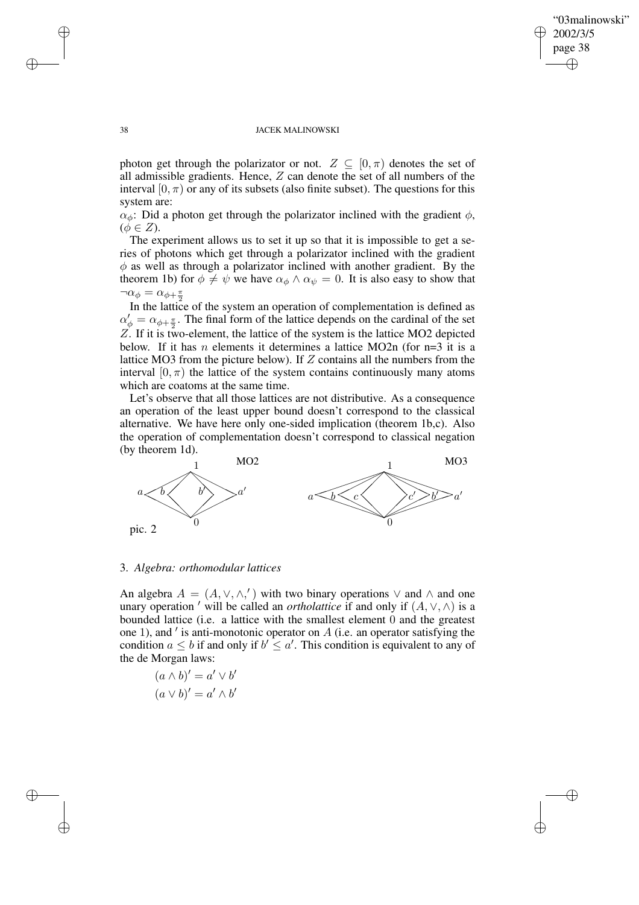✐

### 38 JACEK MALINOWSKI

photon get through the polarizator or not.  $Z \subseteq [0, \pi)$  denotes the set of all admissible gradients. Hence, Z can denote the set of all numbers of the interval  $[0, \pi)$  or any of its subsets (also finite subset). The questions for this system are:

 $\alpha_{\phi}$ : Did a photon get through the polarizator inclined with the gradient  $\phi$ ,  $(\phi \in Z).$ 

The experiment allows us to set it up so that it is impossible to get a series of photons which get through a polarizator inclined with the gradient  $\phi$  as well as through a polarizator inclined with another gradient. By the theorem 1b) for  $\phi \neq \psi$  we have  $\alpha_{\phi} \wedge \alpha_{\psi} = 0$ . It is also easy to show that  $\neg \alpha_{\phi} = \alpha_{\phi + \frac{\pi}{2}}$ 

In the lattice of the system an operation of complementation is defined as  $\alpha'_{\phi} = \alpha_{\phi + \frac{\pi}{2}}$ . The final form of the lattice depends on the cardinal of the set Z. If it is two-element, the lattice of the system is the lattice MO2 depicted below. If it has *n* elements it determines a lattice MO2n (for  $n=3$  it is a lattice MO3 from the picture below). If  $Z$  contains all the numbers from the interval  $[0, \pi)$  the lattice of the system contains continuously many atoms which are coatoms at the same time.

Let's observe that all those lattices are not distributive. As a consequence an operation of the least upper bound doesn't correspond to the classical alternative. We have here only one-sided implication (theorem 1b,c). Also the operation of complementation doesn't correspond to classical negation (by theorem 1d).



### 3. *Algebra: orthomodular lattices*

An algebra  $A = (A, \vee, \wedge,')$  with two binary operations  $\vee$  and  $\wedge$  and one unary operation ' will be called an *ortholattice* if and only if  $(A, \vee, \wedge)$  is a bounded lattice (i.e. a lattice with the smallest element 0 and the greatest one 1), and  $\prime$  is anti-monotonic operator on  $A$  (i.e. an operator satisfying the condition  $a \leq b$  if and only if  $b' \leq a'$ . This condition is equivalent to any of the de Morgan laws:

$$
(a \wedge b)' = a' \vee b'
$$

$$
(a \vee b)' = a' \wedge b'
$$

✐

✐

✐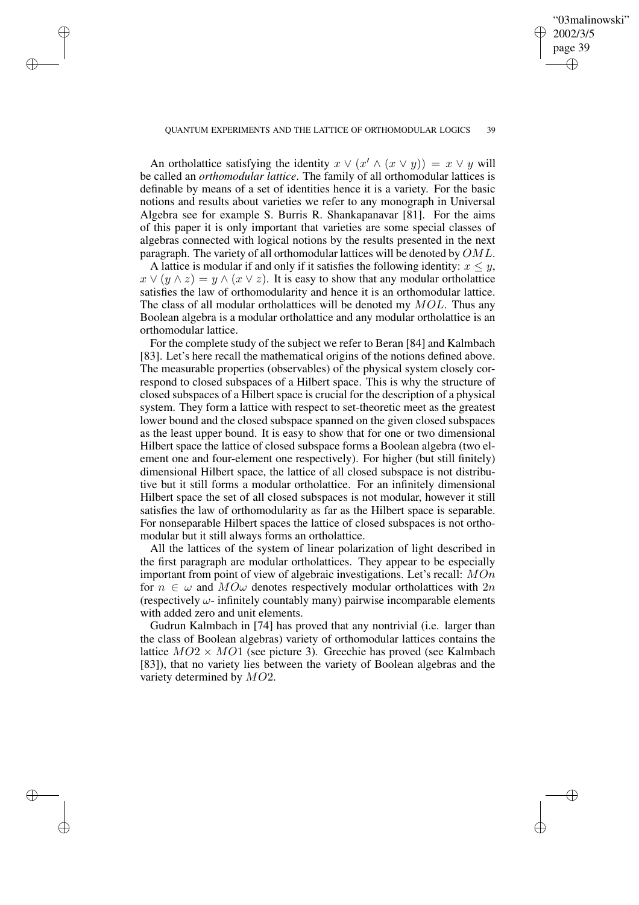✐

#### QUANTUM EXPERIMENTS AND THE LATTICE OF ORTHOMODULAR LOGICS 39

✐

✐

✐

✐

An ortholattice satisfying the identity  $x \lor (x' \land (x \lor y)) = x \lor y$  will be called an *orthomodular lattice*. The family of all orthomodular lattices is definable by means of a set of identities hence it is a variety. For the basic notions and results about varieties we refer to any monograph in Universal Algebra see for example S. Burris R. Shankapanavar [81]. For the aims of this paper it is only important that varieties are some special classes of algebras connected with logical notions by the results presented in the next paragraph. The variety of all orthomodular lattices will be denoted by  $OML$ .

A lattice is modular if and only if it satisfies the following identity:  $x \leq y$ ,  $x \vee (y \wedge z) = y \wedge (x \vee z)$ . It is easy to show that any modular ortholattice satisfies the law of orthomodularity and hence it is an orthomodular lattice. The class of all modular ortholattices will be denoted my  $MOL$ . Thus any Boolean algebra is a modular ortholattice and any modular ortholattice is an orthomodular lattice.

For the complete study of the subject we refer to Beran [84] and Kalmbach [83]. Let's here recall the mathematical origins of the notions defined above. The measurable properties (observables) of the physical system closely correspond to closed subspaces of a Hilbert space. This is why the structure of closed subspaces of a Hilbert space is crucial for the description of a physical system. They form a lattice with respect to set-theoretic meet as the greatest lower bound and the closed subspace spanned on the given closed subspaces as the least upper bound. It is easy to show that for one or two dimensional Hilbert space the lattice of closed subspace forms a Boolean algebra (two element one and four-element one respectively). For higher (but still finitely) dimensional Hilbert space, the lattice of all closed subspace is not distributive but it still forms a modular ortholattice. For an infinitely dimensional Hilbert space the set of all closed subspaces is not modular, however it still satisfies the law of orthomodularity as far as the Hilbert space is separable. For nonseparable Hilbert spaces the lattice of closed subspaces is not orthomodular but it still always forms an ortholattice.

All the lattices of the system of linear polarization of light described in the first paragraph are modular ortholattices. They appear to be especially important from point of view of algebraic investigations. Let's recall: MOn for  $n \in \omega$  and  $M\Omega\omega$  denotes respectively modular ortholattices with  $2n$ (respectively  $\omega$ - infinitely countably many) pairwise incomparable elements with added zero and unit elements.

Gudrun Kalmbach in [74] has proved that any nontrivial (i.e. larger than the class of Boolean algebras) variety of orthomodular lattices contains the lattice  $MO2 \times MO1$  (see picture 3). Greechie has proved (see Kalmbach [83]), that no variety lies between the variety of Boolean algebras and the variety determined by MO2.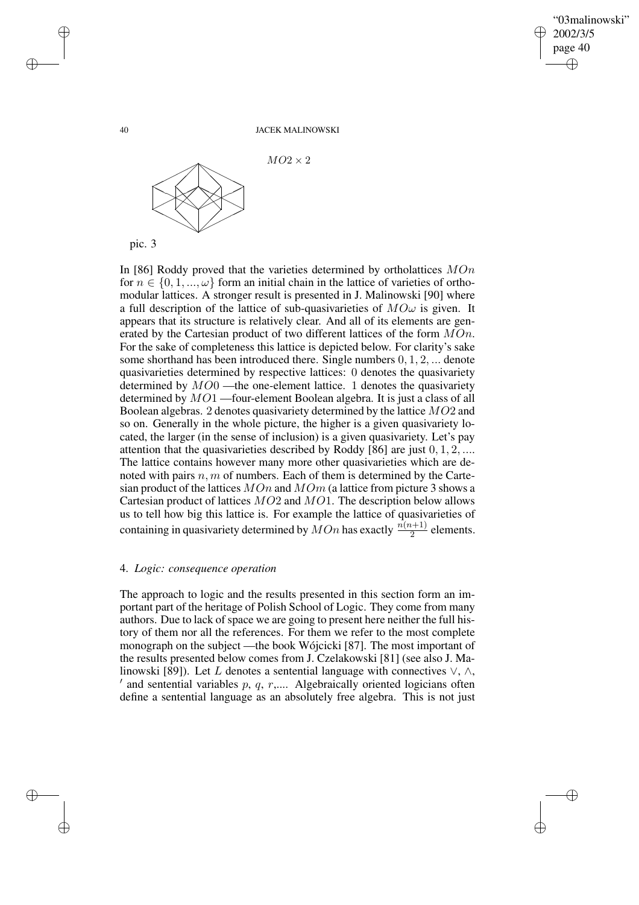✐

#### 40 JACEK MALINOWSKI



In [86] Roddy proved that the varieties determined by ortholattices  $MOn$ for  $n \in \{0, 1, ..., \omega\}$  form an initial chain in the lattice of varieties of orthomodular lattices. A stronger result is presented in J. Malinowski [90] where a full description of the lattice of sub-quasivarieties of  $M\mathcal{O}\omega$  is given. It appears that its structure is relatively clear. And all of its elements are generated by the Cartesian product of two different lattices of the form  $MOn$ . For the sake of completeness this lattice is depicted below. For clarity's sake some shorthand has been introduced there. Single numbers 0, 1, 2, ... denote quasivarieties determined by respective lattices: 0 denotes the quasivariety determined by  $MO0$  —the one-element lattice. 1 denotes the quasivariety determined by MO1 —four-element Boolean algebra. It is just a class of all Boolean algebras. 2 denotes quasivariety determined by the lattice MO2 and so on. Generally in the whole picture, the higher is a given quasivariety located, the larger (in the sense of inclusion) is a given quasivariety. Let's pay attention that the quasivarieties described by Roddy [86] are just 0, 1, 2, .... The lattice contains however many more other quasivarieties which are denoted with pairs  $n, m$  of numbers. Each of them is determined by the Cartesian product of the lattices  $MOn$  and  $MOn$  (a lattice from picture 3 shows a Cartesian product of lattices MO2 and MO1. The description below allows us to tell how big this lattice is. For example the lattice of quasivarieties of containing in quasivariety determined by  $MOn$  has exactly  $\frac{n(n+1)}{2}$  elements.

## 4. *Logic: consequence operation*

The approach to logic and the results presented in this section form an important part of the heritage of Polish School of Logic. They come from many authors. Due to lack of space we are going to present here neither the full history of them nor all the references. For them we refer to the most complete monograph on the subject —the book Wójcicki [87]. The most important of the results presented below comes from J. Czelakowski [81] (see also J. Malinowski [89]). Let L denotes a sentential language with connectives  $\vee$ ,  $\wedge$ ,  $\alpha'$  and sentential variables p, q, r,.... Algebraically oriented logicians often define a sentential language as an absolutely free algebra. This is not just

✐

✐

✐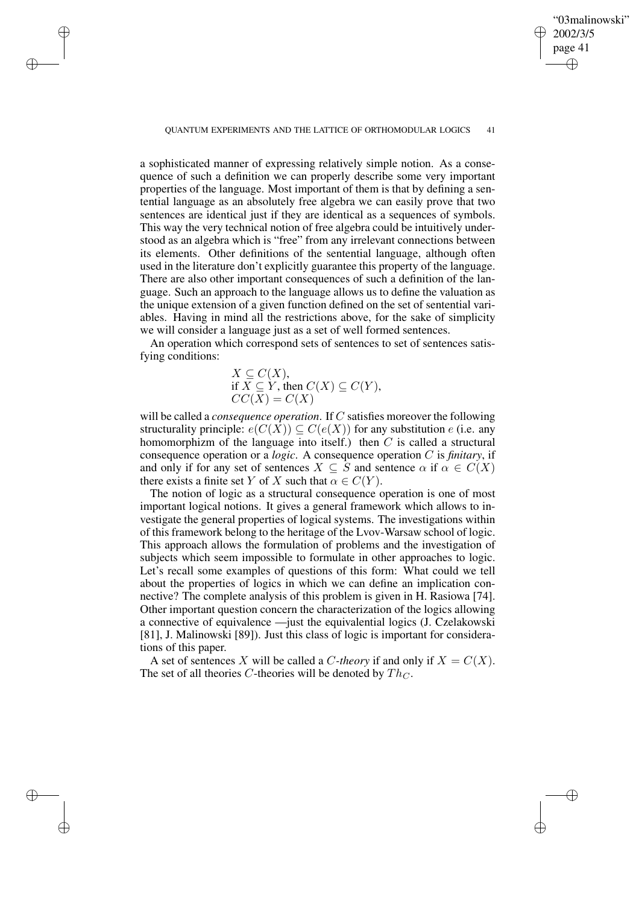"03malinowski" 2002/3/5 page 41 ✐ ✐

✐

✐

QUANTUM EXPERIMENTS AND THE LATTICE OF ORTHOMODULAR LOGICS 41

✐

✐

✐

✐

a sophisticated manner of expressing relatively simple notion. As a consequence of such a definition we can properly describe some very important properties of the language. Most important of them is that by defining a sentential language as an absolutely free algebra we can easily prove that two sentences are identical just if they are identical as a sequences of symbols. This way the very technical notion of free algebra could be intuitively understood as an algebra which is "free" from any irrelevant connections between its elements. Other definitions of the sentential language, although often used in the literature don't explicitly guarantee this property of the language. There are also other important consequences of such a definition of the language. Such an approach to the language allows us to define the valuation as the unique extension of a given function defined on the set of sentential variables. Having in mind all the restrictions above, for the sake of simplicity we will consider a language just as a set of well formed sentences.

An operation which correspond sets of sentences to set of sentences satisfying conditions:

$$
X \subseteq C(X),
$$
  
if  $X \subseteq Y$ , then  $C(X) \subseteq C(Y)$ ,  

$$
CC(X) = C(X)
$$

will be called a *consequence operation*. If C satisfies moreover the following structurality principle:  $e(C(X)) \subseteq C(e(X))$  for any substitution e (i.e. any homomorphizm of the language into itself.) then  $C$  is called a structural consequence operation or a *logic*. A consequence operation C is *finitary*, if and only if for any set of sentences  $X \subseteq S$  and sentence  $\alpha$  if  $\alpha \in C(X)$ there exists a finite set Y of X such that  $\alpha \in C(Y)$ .

The notion of logic as a structural consequence operation is one of most important logical notions. It gives a general framework which allows to investigate the general properties of logical systems. The investigations within of this framework belong to the heritage of the Lvov-Warsaw school of logic. This approach allows the formulation of problems and the investigation of subjects which seem impossible to formulate in other approaches to logic. Let's recall some examples of questions of this form: What could we tell about the properties of logics in which we can define an implication connective? The complete analysis of this problem is given in H. Rasiowa [74]. Other important question concern the characterization of the logics allowing a connective of equivalence —just the equivalential logics (J. Czelakowski [81], J. Malinowski [89]). Just this class of logic is important for considerations of this paper.

A set of sentences X will be called a C-theory if and only if  $X = C(X)$ . The set of all theories C-theories will be denoted by  $Th_C$ .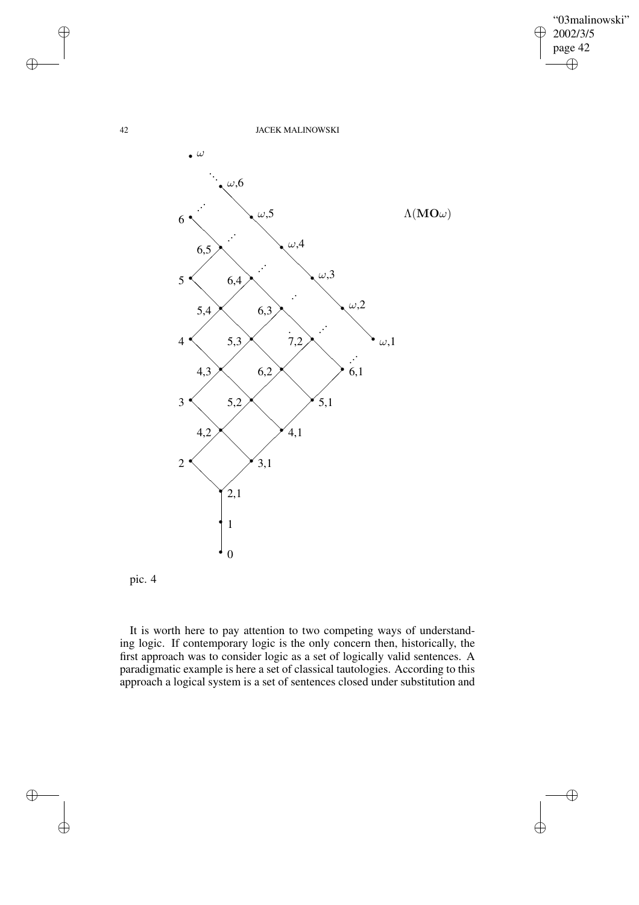$\bigoplus$ 

 $\bigoplus$ 

42 JACEK MALINOWSKI



pic. 4

It is worth here to pay attention to two competing ways of understanding logic. If contemporary logic is the only concern then, historically, the first approach was to consider logic as a set of logically valid sentences. A paradigmatic example is here a set of classical tautologies. According to this approach a logical system is a set of sentences closed under substitution and

 $\bigoplus$ 

 $\bigoplus$ 

 $\bigoplus$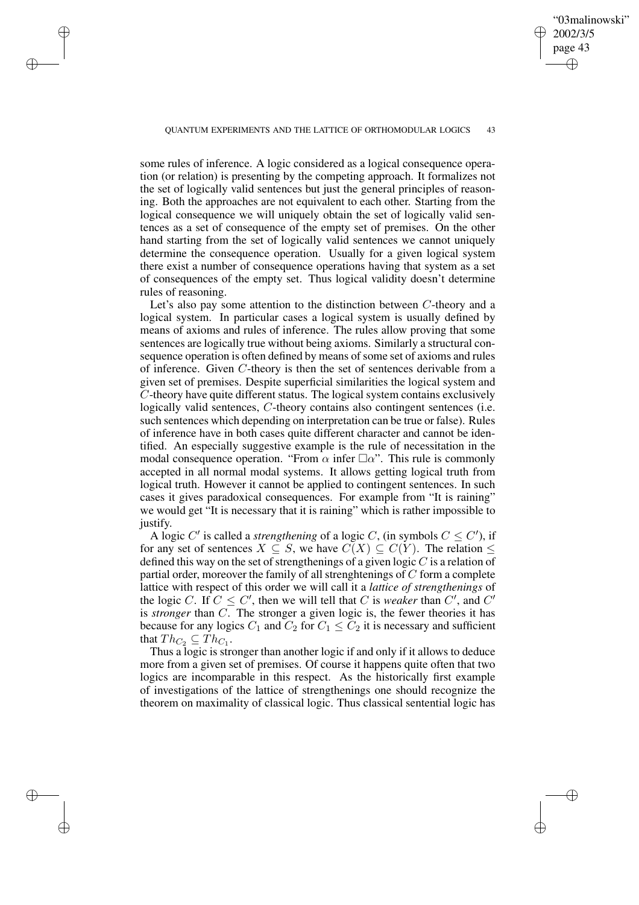✐

#### QUANTUM EXPERIMENTS AND THE LATTICE OF ORTHOMODULAR LOGICS 43

✐

✐

✐

✐

some rules of inference. A logic considered as a logical consequence operation (or relation) is presenting by the competing approach. It formalizes not the set of logically valid sentences but just the general principles of reasoning. Both the approaches are not equivalent to each other. Starting from the logical consequence we will uniquely obtain the set of logically valid sentences as a set of consequence of the empty set of premises. On the other hand starting from the set of logically valid sentences we cannot uniquely determine the consequence operation. Usually for a given logical system there exist a number of consequence operations having that system as a set of consequences of the empty set. Thus logical validity doesn't determine rules of reasoning.

Let's also pay some attention to the distinction between C-theory and a logical system. In particular cases a logical system is usually defined by means of axioms and rules of inference. The rules allow proving that some sentences are logically true without being axioms. Similarly a structural consequence operation is often defined by means of some set of axioms and rules of inference. Given C-theory is then the set of sentences derivable from a given set of premises. Despite superficial similarities the logical system and C-theory have quite different status. The logical system contains exclusively logically valid sentences, C-theory contains also contingent sentences (i.e. such sentences which depending on interpretation can be true or false). Rules of inference have in both cases quite different character and cannot be identified. An especially suggestive example is the rule of necessitation in the modal consequence operation. "From  $\alpha$  infer  $\Box \alpha$ ". This rule is commonly accepted in all normal modal systems. It allows getting logical truth from logical truth. However it cannot be applied to contingent sentences. In such cases it gives paradoxical consequences. For example from "It is raining" we would get "It is necessary that it is raining" which is rather impossible to justify.

A logic C' is called a *strengthening* of a logic C, (in symbols  $C \leq C'$ ), if for any set of sentences  $X \subseteq S$ , we have  $C(X) \subseteq C(Y)$ . The relation  $\leq$ defined this way on the set of strengthenings of a given logic  $C$  is a relation of partial order, moreover the family of all strenghtenings of  $C$  form a complete lattice with respect of this order we will call it a *lattice of strengthenings* of the logic C. If  $C \leq C'$ , then we will tell that C is *weaker* than C', and C' is *stronger* than C. The stronger a given logic is, the fewer theories it has because for any logics  $C_1$  and  $C_2$  for  $C_1 \le C_2$  it is necessary and sufficient that  $Th_{C_2} \subseteq Th_{C_1}$ .

Thus a logic is stronger than another logic if and only if it allows to deduce more from a given set of premises. Of course it happens quite often that two logics are incomparable in this respect. As the historically first example of investigations of the lattice of strengthenings one should recognize the theorem on maximality of classical logic. Thus classical sentential logic has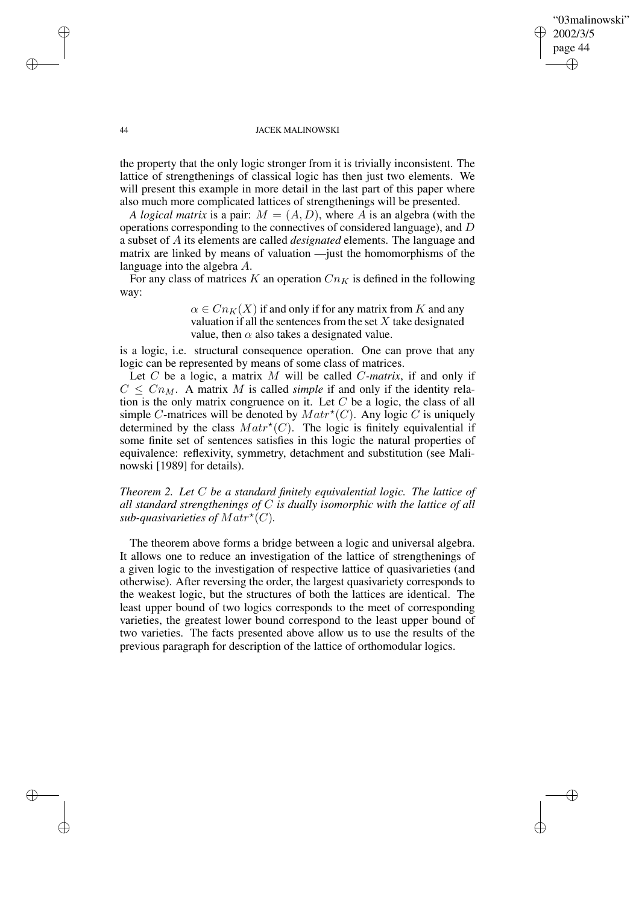✐

### 44 JACEK MALINOWSKI

the property that the only logic stronger from it is trivially inconsistent. The lattice of strengthenings of classical logic has then just two elements. We will present this example in more detail in the last part of this paper where also much more complicated lattices of strengthenings will be presented.

*A logical matrix* is a pair:  $M = (A, D)$ , where A is an algebra (with the operations corresponding to the connectives of considered language), and D a subset of A its elements are called *designated* elements. The language and matrix are linked by means of valuation —just the homomorphisms of the language into the algebra A.

For any class of matrices K an operation  $Cn_K$  is defined in the following way:

> $\alpha \in C_{nK}(X)$  if and only if for any matrix from K and any valuation if all the sentences from the set  $X$  take designated value, then  $\alpha$  also takes a designated value.

is a logic, i.e. structural consequence operation. One can prove that any logic can be represented by means of some class of matrices.

Let C be a logic, a matrix M will be called C*-matrix*, if and only if  $C \leq C n_M$ . A matrix M is called *simple* if and only if the identity relation is the only matrix congruence on it. Let  $C$  be a logic, the class of all simple C-matrices will be denoted by  $\operatorname{Matr}^{\star}(C)$ . Any logic C is uniquely determined by the class  $Matr^*(C)$ . The logic is finitely equivalential if some finite set of sentences satisfies in this logic the natural properties of equivalence: reflexivity, symmetry, detachment and substitution (see Malinowski [1989] for details).

*Theorem 2. Let* C *be a standard finitely equivalential logic. The lattice of all standard strengthenings of* C *is dually isomorphic with the lattice of all* sub-quasivarieties of  $\mathit{Matrix}^{\star}(C)$ .

The theorem above forms a bridge between a logic and universal algebra. It allows one to reduce an investigation of the lattice of strengthenings of a given logic to the investigation of respective lattice of quasivarieties (and otherwise). After reversing the order, the largest quasivariety corresponds to the weakest logic, but the structures of both the lattices are identical. The least upper bound of two logics corresponds to the meet of corresponding varieties, the greatest lower bound correspond to the least upper bound of two varieties. The facts presented above allow us to use the results of the previous paragraph for description of the lattice of orthomodular logics.

✐

✐

✐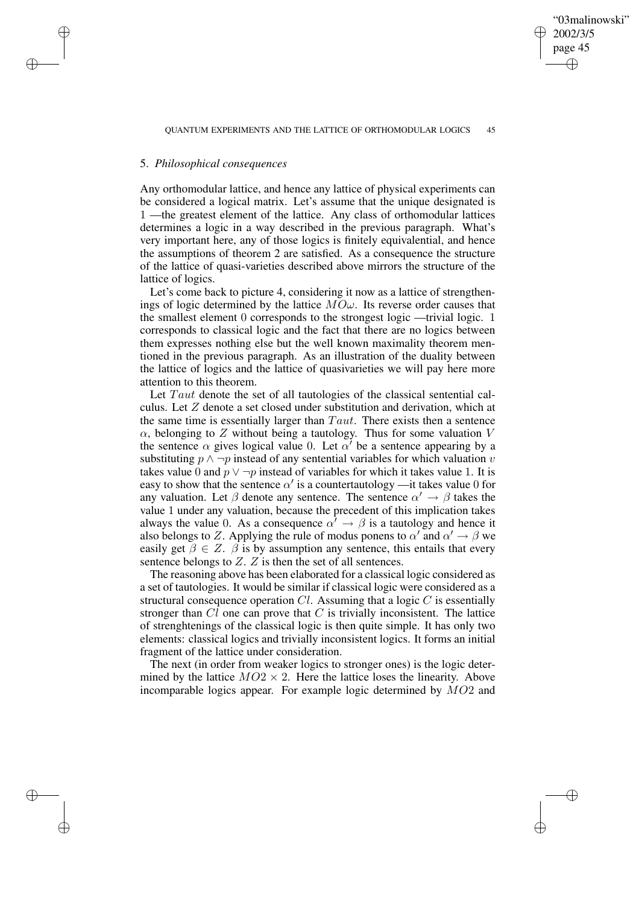✐

## 5. *Philosophical consequences*

✐

✐

✐

✐

Any orthomodular lattice, and hence any lattice of physical experiments can be considered a logical matrix. Let's assume that the unique designated is 1 —the greatest element of the lattice. Any class of orthomodular lattices determines a logic in a way described in the previous paragraph. What's very important here, any of those logics is finitely equivalential, and hence the assumptions of theorem 2 are satisfied. As a consequence the structure of the lattice of quasi-varieties described above mirrors the structure of the lattice of logics.

Let's come back to picture 4, considering it now as a lattice of strengthenings of logic determined by the lattice  $MO\omega$ . Its reverse order causes that the smallest element 0 corresponds to the strongest logic —trivial logic. 1 corresponds to classical logic and the fact that there are no logics between them expresses nothing else but the well known maximality theorem mentioned in the previous paragraph. As an illustration of the duality between the lattice of logics and the lattice of quasivarieties we will pay here more attention to this theorem.

Let Taut denote the set of all tautologies of the classical sentential calculus. Let Z denote a set closed under substitution and derivation, which at the same time is essentially larger than  $Taut$ . There exists then a sentence  $\alpha$ , belonging to Z without being a tautology. Thus for some valuation V the sentence  $\alpha$  gives logical value 0. Let  $\alpha'$  be a sentence appearing by a substituting  $p \wedge \neg p$  instead of any sentential variables for which valuation v takes value 0 and  $p \vee \neg p$  instead of variables for which it takes value 1. It is easy to show that the sentence  $\alpha'$  is a countertautology —it takes value 0 for any valuation. Let  $\beta$  denote any sentence. The sentence  $\alpha' \rightarrow \beta$  takes the value 1 under any valuation, because the precedent of this implication takes always the value 0. As a consequence  $\alpha' \rightarrow \beta$  is a tautology and hence it also belongs to Z. Applying the rule of modus ponens to  $\alpha'$  and  $\alpha' \rightarrow \beta$  we easily get  $\beta \in \mathbb{Z}$ .  $\beta$  is by assumption any sentence, this entails that every sentence belongs to  $Z$ .  $Z$  is then the set of all sentences.

The reasoning above has been elaborated for a classical logic considered as a set of tautologies. It would be similar if classical logic were considered as a structural consequence operation  $Cl$ . Assuming that a logic  $C$  is essentially stronger than  $Cl$  one can prove that  $C$  is trivially inconsistent. The lattice of strenghtenings of the classical logic is then quite simple. It has only two elements: classical logics and trivially inconsistent logics. It forms an initial fragment of the lattice under consideration.

The next (in order from weaker logics to stronger ones) is the logic determined by the lattice  $MO2 \times 2$ . Here the lattice loses the linearity. Above incomparable logics appear. For example logic determined by  $MO2$  and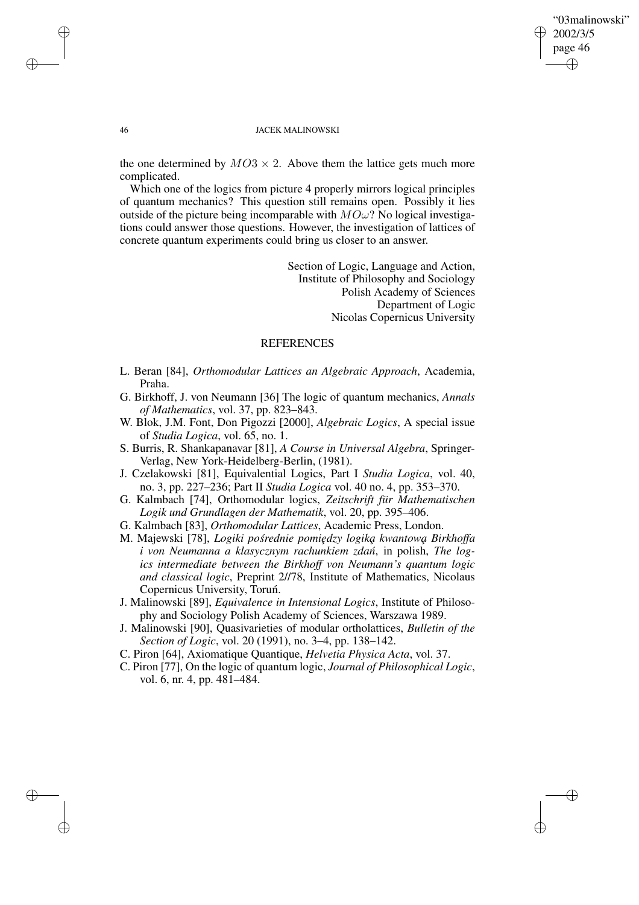✐

### 46 JACEK MALINOWSKI

the one determined by  $MO3 \times 2$ . Above them the lattice gets much more complicated.

Which one of the logics from picture 4 properly mirrors logical principles of quantum mechanics? This question still remains open. Possibly it lies outside of the picture being incomparable with  $MO\omega$ ? No logical investigations could answer those questions. However, the investigation of lattices of concrete quantum experiments could bring us closer to an answer.

> Section of Logic, Language and Action, Institute of Philosophy and Sociology Polish Academy of Sciences Department of Logic Nicolas Copernicus University

# REFERENCES

- L. Beran [84], *Orthomodular Lattices an Algebraic Approach*, Academia, Praha.
- G. Birkhoff, J. von Neumann [36] The logic of quantum mechanics, *Annals of Mathematics*, vol. 37, pp. 823–843.
- W. Blok, J.M. Font, Don Pigozzi [2000], *Algebraic Logics*, A special issue of *Studia Logica*, vol. 65, no. 1.
- S. Burris, R. Shankapanavar [81], *A Course in Universal Algebra*, Springer-Verlag, New York-Heidelberg-Berlin, (1981).
- J. Czelakowski [81], Equivalential Logics, Part I *Studia Logica*, vol. 40, no. 3, pp. 227–236; Part II *Studia Logica* vol. 40 no. 4, pp. 353–370.
- G. Kalmbach [74], Orthomodular logics, *Zeitschrift für Mathematischen Logik und Grundlagen der Mathematik*, vol. 20, pp. 395–406.
- G. Kalmbach [83], *Orthomodular Lattices*, Academic Press, London.
- M. Majewski [78], *Logiki pośrednie pomiędzy logiką kwantową Birkhoffa i von Neumanna a klasycznym rachunkiem zdan´*, in polish, *The logics intermediate between the Birkhoff von Neumann's quantum logic and classical logic*, Preprint 2//78, Institute of Mathematics, Nicolaus Copernicus University, Toruń.
- J. Malinowski [89], *Equivalence in Intensional Logics*, Institute of Philosophy and Sociology Polish Academy of Sciences, Warszawa 1989.
- J. Malinowski [90], Quasivarieties of modular ortholattices, *Bulletin of the Section of Logic*, vol. 20 (1991), no. 3–4, pp. 138–142.
- C. Piron [64], Axiomatique Quantique, *Helvetia Physica Acta*, vol. 37.
- C. Piron [77], On the logic of quantum logic, *Journal of Philosophical Logic*, vol. 6, nr. 4, pp. 481–484.

✐

✐

✐